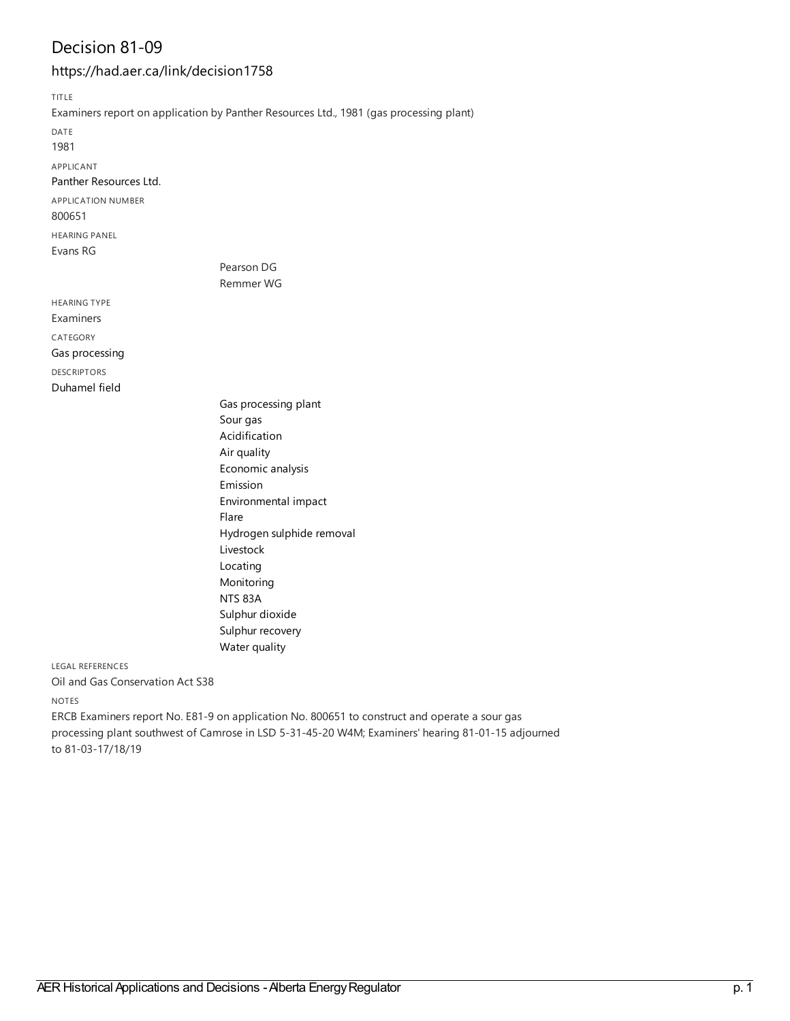### Decision 81-09

#### <https://had.aer.ca/link/decision1758>

TITLE Examiners report on application by Panther Resources Ltd., 1981 (gas processing plant) DATE 1981 APPLICANT Panther [Resources](https://had.aer.ca/list?q=name%253A%2522Panther%20Resources%20Ltd.%2522&p=1&ps=&sort=title_sort%20asc) Ltd. APPLICATION NUMBER 800651 HEARING PANEL Evans RG Pearson DG Remmer WG HEARING TYPE Examiners

CATEGORY Gas [processing](https://had.aer.ca/list?q=topic%253A%2522Gas%20processing%2522&p=1&ps=&sort=title_sort%20asc) DESCRIPTORS

[Duhamel](https://had.aer.ca/list?q=topic%253A%2522Duhamel%20field%2522&p=1&ps=&sort=title_sort%20asc) field

Gas [processing](https://had.aer.ca/list?q=topic%253A%2522Gas%20processing%20plant%2522&p=1&ps=&sort=title_sort%20asc) plant [Sour](https://had.aer.ca/list?q=topic%253A%2522Sour%20gas%2522&p=1&ps=&sort=title_sort%20asc) gas [Acidification](https://had.aer.ca/list?q=topic%253A%2522Acidification%2522&p=1&ps=&sort=title_sort%20asc) Air [quality](https://had.aer.ca/list?q=topic%253A%2522Air%20quality%2522&p=1&ps=&sort=title_sort%20asc) [Economic](https://had.aer.ca/list?q=topic%253A%2522Economic%20analysis%2522&p=1&ps=&sort=title_sort%20asc) analysis [Emission](https://had.aer.ca/list?q=topic%253A%2522Emission%2522&p=1&ps=&sort=title_sort%20asc) [Environmental](https://had.aer.ca/list?q=topic%253A%2522Environmental%20impact%2522&p=1&ps=&sort=title_sort%20asc) impact [Flare](https://had.aer.ca/list?q=topic%253A%2522Flare%2522&p=1&ps=&sort=title_sort%20asc) [Hydrogen](https://had.aer.ca/list?q=topic%253A%2522Hydrogen%20sulphide%20removal%2522&p=1&ps=&sort=title_sort%20asc) sulphide removal [Livestock](https://had.aer.ca/list?q=topic%253A%2522Livestock%2522&p=1&ps=&sort=title_sort%20asc) [Locating](https://had.aer.ca/list?q=topic%253A%2522Locating%2522&p=1&ps=&sort=title_sort%20asc) [Monitoring](https://had.aer.ca/list?q=topic%253A%2522Monitoring%2522&p=1&ps=&sort=title_sort%20asc) [NTS](https://had.aer.ca/list?q=topic%253A%2522NTS%2083A%2522&p=1&ps=&sort=title_sort%20asc) 83A [Sulphur](https://had.aer.ca/list?q=topic%253A%2522Sulphur%20dioxide%2522&p=1&ps=&sort=title_sort%20asc) dioxide Sulphur [recovery](https://had.aer.ca/list?q=topic%253A%2522Sulphur%20recovery%2522&p=1&ps=&sort=title_sort%20asc) Water [quality](https://had.aer.ca/list?q=topic%253A%2522Water%20quality%2522&p=1&ps=&sort=title_sort%20asc)

LEGAL REFERENCES

Oil and Gas Conservation Act S38

NOTES

ERCB Examiners report No.E81-9 on application No. 800651 to construct and operate a sour gas processing plant southwest of Camrose in LSD 5-31-45-20 W4M;Examiners' hearing 81-01-15 adjourned to 81-03-17/18/19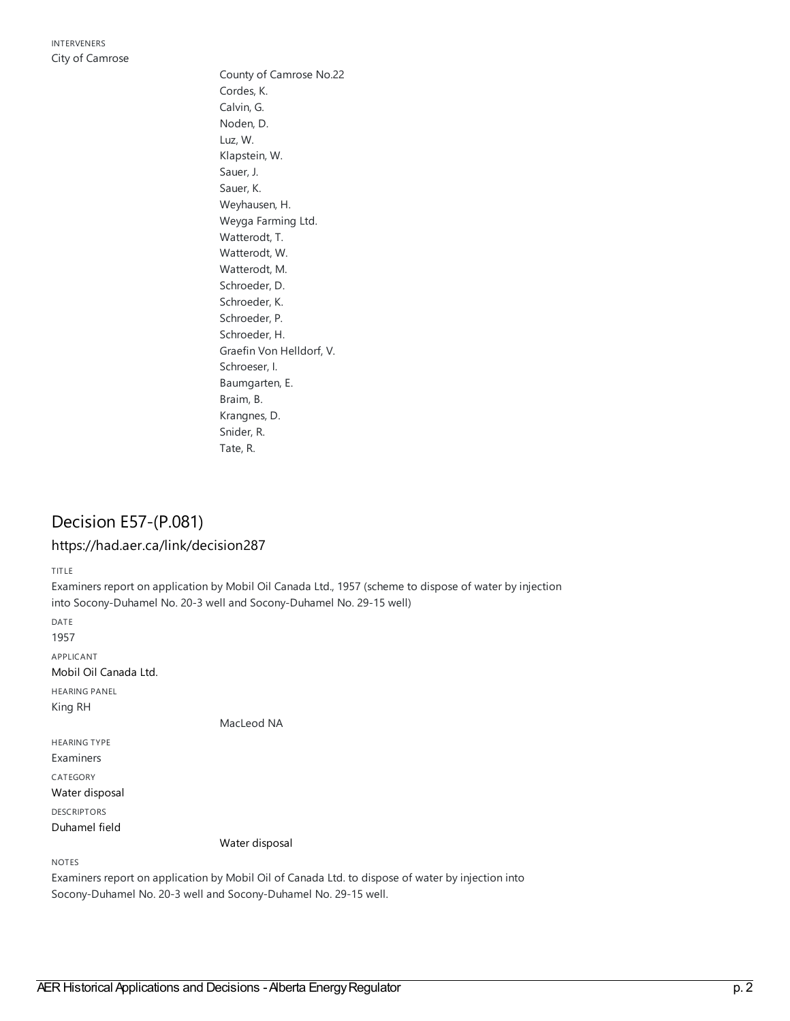County of Camrose No.22 Cordes, K. Calvin, G. Noden, D. Luz, W. Klapstein, W. Sauer, J. Sauer, K. Weyhausen, H. Weyga Farming Ltd. Watterodt, T. Watterodt, W. Watterodt, M. Schroeder, D. Schroeder, K. Schroeder, P. Schroeder, H. Graefin Von Helldorf, V. Schroeser, I. Baumgarten, E. Braim, B. Krangnes, D. Snider, R. Tate, R.

### Decision E57-(P.081)

#### <https://had.aer.ca/link/decision287>

TITLE

Examiners report on application by Mobil Oil Canada Ltd., 1957 (scheme to dispose of water by injection into Socony-Duhamel No. 20-3 well and Socony-Duhamel No. 29-15 well) DATE 1957 APPLICANT Mobil Oil [Canada](https://had.aer.ca/list?q=name%253A%2522Mobil%20Oil%20Canada%20Ltd.%2522&p=1&ps=&sort=title_sort%20asc) Ltd. HEARING PANEL King RH MacLeod NA HEARING TYPE Examiners CATEGORY Water [disposal](https://had.aer.ca/list?q=topic%253A%2522Water%20disposal%2522&p=1&ps=&sort=title_sort%20asc) DESCRIPTORS [Duhamel](https://had.aer.ca/list?q=topic%253A%2522Duhamel%20field%2522&p=1&ps=&sort=title_sort%20asc) field Water [disposal](https://had.aer.ca/list?q=topic%253A%2522Water%20disposal%2522&p=1&ps=&sort=title_sort%20asc) NOTES Examiners report on application by Mobil Oil of Canada Ltd. to dispose of water by injection into Socony-Duhamel No. 20-3 well and Socony-Duhamel No. 29-15 well.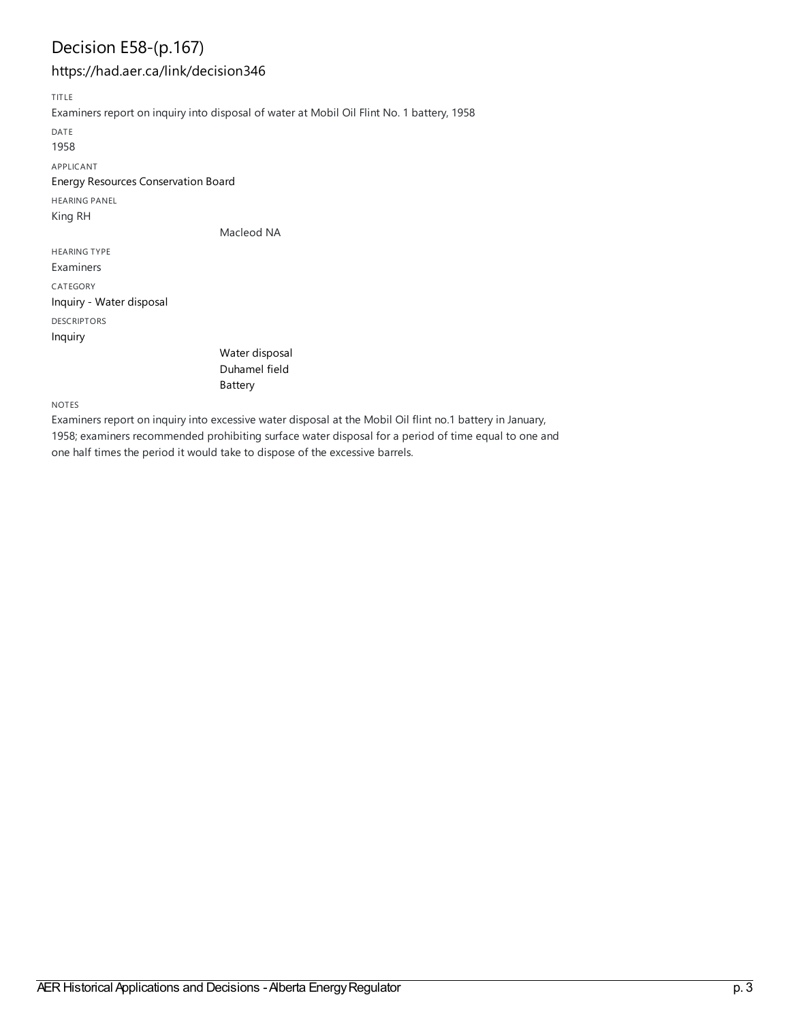# Decision E58-(p.167)

#### <https://had.aer.ca/link/decision346>

TITLE

Examiners report on inquiry into disposal of water at Mobil Oil Flint No. 1 battery, 1958

DATE

1958

APPLICANT

Energy Resources [Conservation](https://had.aer.ca/list?q=name%253A%2522Energy%20Resources%20Conservation%20Board%2522&p=1&ps=&sort=title_sort%20asc) Board

HEARING PANEL

King RH

Macleod NA

HEARING TYPE Examiners CATEGORY Inquiry - Water [disposal](https://had.aer.ca/list?q=topic%253A%2522Inquiry%20-%20Water%20disposal%2522&p=1&ps=&sort=title_sort%20asc) DESCRIPTORS

[Inquiry](https://had.aer.ca/list?q=topic%253A%2522Inquiry%2522&p=1&ps=&sort=title_sort%20asc)

| Water disposal |
|----------------|
| Duhamel field  |
| Battery        |

NOTES

Examiners report on inquiry into excessive water disposal at the Mobil Oil flint no.1 battery in January, 1958; examiners recommended prohibiting surface water disposal for a period of time equal to one and one half times the period it would take to dispose of the excessive barrels.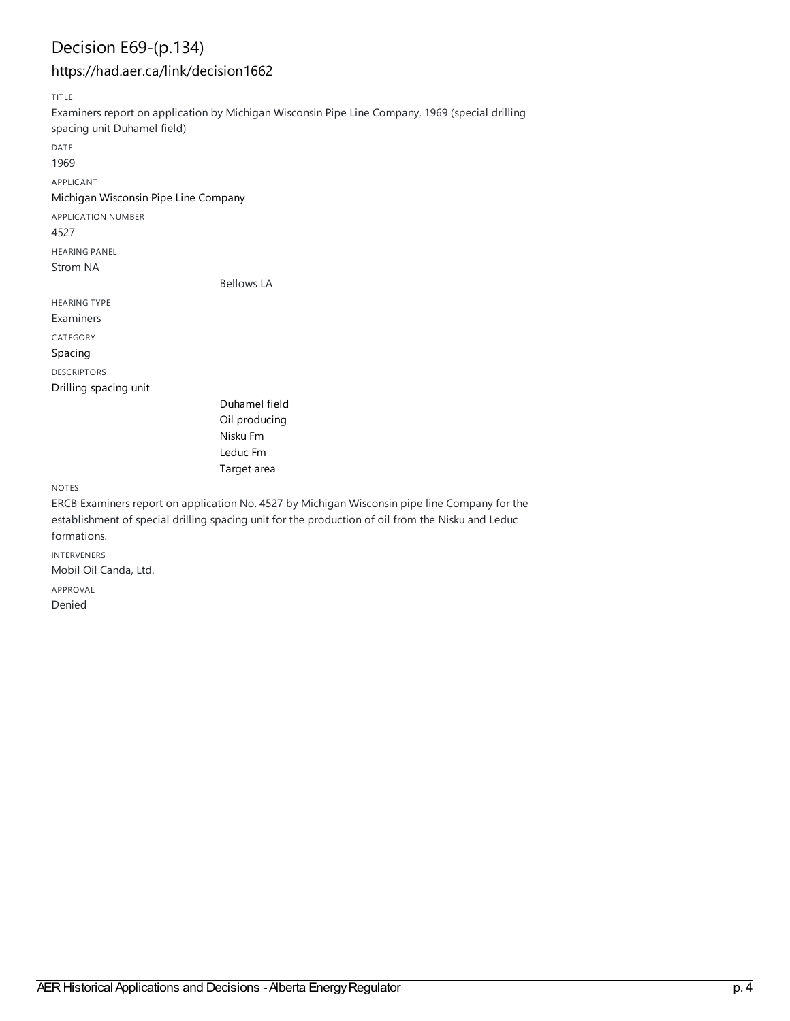# Decision E69-(p.134)

#### <https://had.aer.ca/link/decision1662>

TITLE

Examiners report on application by Michigan Wisconsin Pipe Line Company, 1969 (special drilling spacing unit Duhamel field) DATE 1969 APPLICANT Michigan [Wisconsin](https://had.aer.ca/list?q=name%253A%2522Michigan%20Wisconsin%20Pipe%20Line%20Company%2522&p=1&ps=&sort=title_sort%20asc) Pipe Line Company APPLICATION NUMBER 4527 HEARING PANEL Strom NA Bellows LA HEARING TYPE Examiners CATEGORY [Spacing](https://had.aer.ca/list?q=topic%253A%2522Spacing%2522&p=1&ps=&sort=title_sort%20asc) DESCRIPTORS Drilling [spacing](https://had.aer.ca/list?q=topic%253A%2522Drilling%20spacing%20unit%2522&p=1&ps=&sort=title_sort%20asc) unit [Duhamel](https://had.aer.ca/list?q=topic%253A%2522Duhamel%20field%2522&p=1&ps=&sort=title_sort%20asc) field Oil [producing](https://had.aer.ca/list?q=topic%253A%2522Oil%20producing%2522&p=1&ps=&sort=title_sort%20asc) [Nisku](https://had.aer.ca/list?q=topic%253A%2522Nisku%20Fm%2522&p=1&ps=&sort=title_sort%20asc) Fm [Leduc](https://had.aer.ca/list?q=topic%253A%2522Leduc%20Fm%2522&p=1&ps=&sort=title_sort%20asc) Fm [Target](https://had.aer.ca/list?q=topic%253A%2522Target%20area%2522&p=1&ps=&sort=title_sort%20asc) area NOTES ERCB Examiners report on application No. 4527 by Michigan Wisconsin pipe line Company for the

establishment of special drilling spacing unit for the production of oil from the Nisku and Leduc formations. INTERVENERS Mobil Oil Canda, Ltd. APPROVAL Denied

era<br>AER Historical Applications and Decisions - Alberta Energy Regulator p. 4